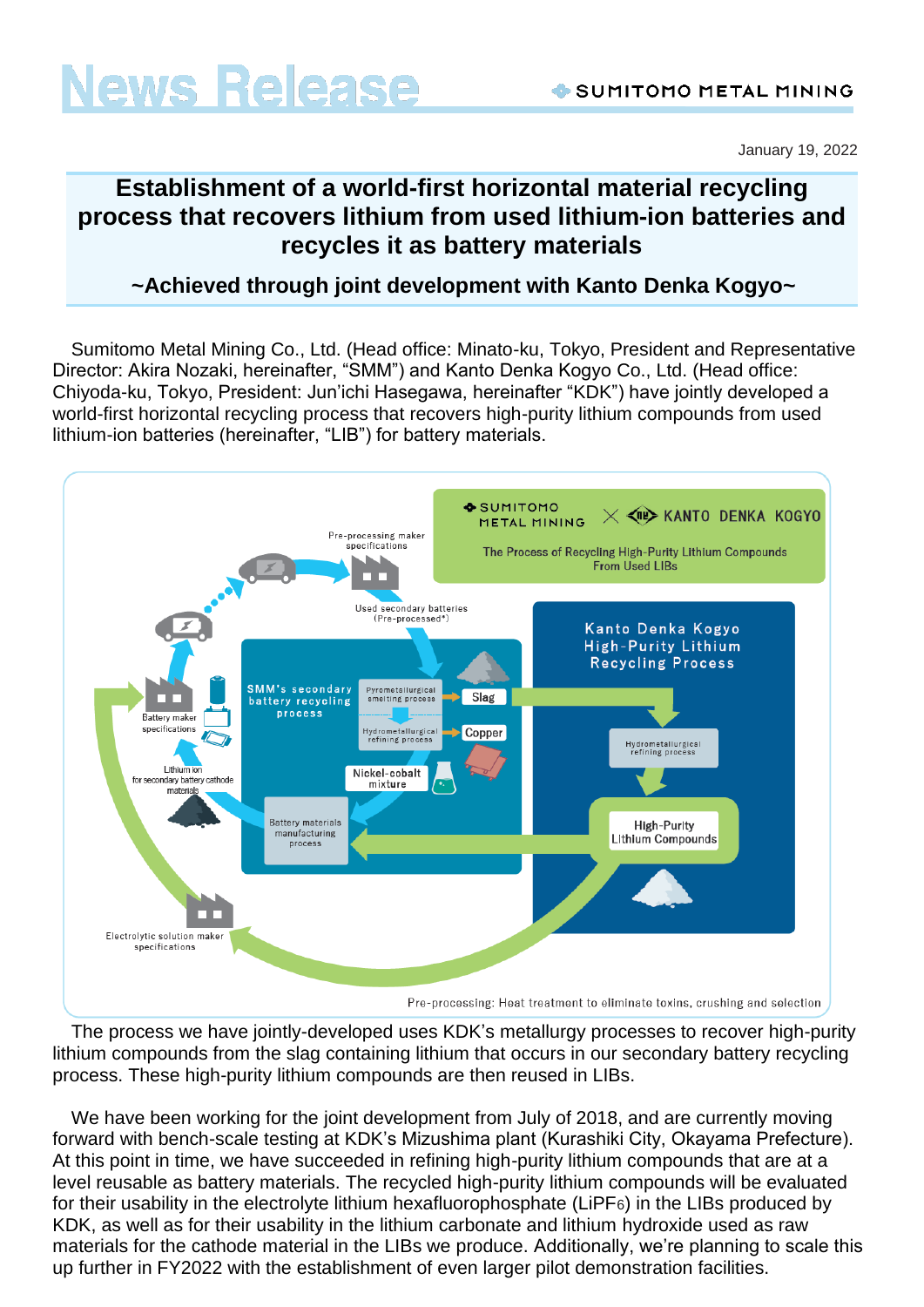January 19, 2022

# **Establishment of a world-first horizontal material recycling process that recovers lithium from used lithium-ion batteries and recycles it as battery materials**

## **~Achieved through joint development with Kanto Denka Kogyo~**

Sumitomo Metal Mining Co., Ltd. (Head office: Minato-ku, Tokyo, President and Representative Director: Akira Nozaki, hereinafter, "SMM") and Kanto Denka Kogyo Co., Ltd. (Head office: Chiyoda-ku, Tokyo, President: Jun'ichi Hasegawa, hereinafter "KDK") have jointly developed a world-first horizontal recycling process that recovers high-purity lithium compounds from used lithium-ion batteries (hereinafter, "LIB") for battery materials.



The process we have jointly-developed uses KDK's metallurgy processes to recover high-purity lithium compounds from the slag containing lithium that occurs in our secondary battery recycling process. These high-purity lithium compounds are then reused in LIBs.

We have been working for the joint development from July of 2018, and are currently moving forward with bench-scale testing at KDK's Mizushima plant (Kurashiki City, Okayama Prefecture). At this point in time, we have succeeded in refining high-purity lithium compounds that are at a level reusable as battery materials. The recycled high-purity lithium compounds will be evaluated for their usability in the electrolyte lithium hexafluorophosphate (LiPF6) in the LIBs produced by KDK, as well as for their usability in the lithium carbonate and lithium hydroxide used as raw materials for the cathode material in the LIBs we produce. Additionally, we're planning to scale this up further in FY2022 with the establishment of even larger pilot demonstration facilities.